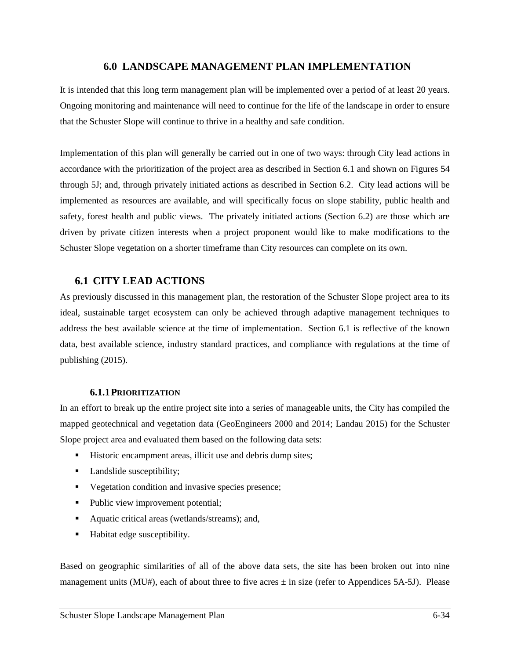## **6.0 LANDSCAPE MANAGEMENT PLAN IMPLEMENTATION**

It is intended that this long term management plan will be implemented over a period of at least 20 years. Ongoing monitoring and maintenance will need to continue for the life of the landscape in order to ensure that the Schuster Slope will continue to thrive in a healthy and safe condition.

Implementation of this plan will generally be carried out in one of two ways: through City lead actions in accordance with the prioritization of the project area as described in Section 6.1 and shown on Figures 54 through 5J; and, through privately initiated actions as described in Section 6.2. City lead actions will be implemented as resources are available, and will specifically focus on slope stability, public health and safety, forest health and public views. The privately initiated actions (Section 6.2) are those which are driven by private citizen interests when a project proponent would like to make modifications to the Schuster Slope vegetation on a shorter timeframe than City resources can complete on its own.

## **6.1 CITY LEAD ACTIONS**

As previously discussed in this management plan, the restoration of the Schuster Slope project area to its ideal, sustainable target ecosystem can only be achieved through adaptive management techniques to address the best available science at the time of implementation. Section 6.1 is reflective of the known data, best available science, industry standard practices, and compliance with regulations at the time of publishing (2015).

#### **6.1.1PRIORITIZATION**

In an effort to break up the entire project site into a series of manageable units, the City has compiled the mapped geotechnical and vegetation data (GeoEngineers 2000 and 2014; Landau 2015) for the Schuster Slope project area and evaluated them based on the following data sets:

- Historic encampment areas, illicit use and debris dump sites;
- Landslide susceptibility;
- Vegetation condition and invasive species presence;
- Public view improvement potential;
- Aquatic critical areas (wetlands/streams); and,
- Habitat edge susceptibility.

Based on geographic similarities of all of the above data sets, the site has been broken out into nine management units (MU#), each of about three to five acres  $\pm$  in size (refer to Appendices 5A-5J). Please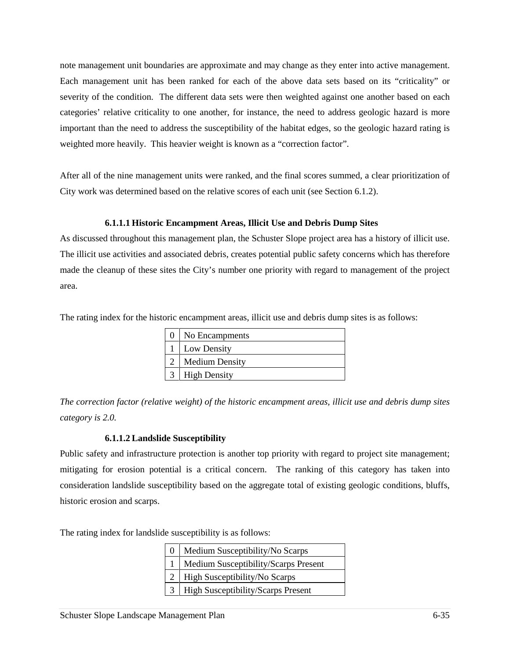note management unit boundaries are approximate and may change as they enter into active management. Each management unit has been ranked for each of the above data sets based on its "criticality" or severity of the condition. The different data sets were then weighted against one another based on each categories' relative criticality to one another, for instance, the need to address geologic hazard is more important than the need to address the susceptibility of the habitat edges, so the geologic hazard rating is weighted more heavily. This heavier weight is known as a "correction factor".

After all of the nine management units were ranked, and the final scores summed, a clear prioritization of City work was determined based on the relative scores of each unit (see Section 6.1.2).

## **6.1.1.1 Historic Encampment Areas, Illicit Use and Debris Dump Sites**

As discussed throughout this management plan, the Schuster Slope project area has a history of illicit use. The illicit use activities and associated debris, creates potential public safety concerns which has therefore made the cleanup of these sites the City's number one priority with regard to management of the project area.

The rating index for the historic encampment areas, illicit use and debris dump sites is as follows:

| No Encampments        |  |  |  |  |  |
|-----------------------|--|--|--|--|--|
| Low Density           |  |  |  |  |  |
| <b>Medium Density</b> |  |  |  |  |  |
| <b>High Density</b>   |  |  |  |  |  |

*The correction factor (relative weight) of the historic encampment areas, illicit use and debris dump sites category is 2.0.* 

## **6.1.1.2 Landslide Susceptibility**

Public safety and infrastructure protection is another top priority with regard to project site management; mitigating for erosion potential is a critical concern. The ranking of this category has taken into consideration landslide susceptibility based on the aggregate total of existing geologic conditions, bluffs, historic erosion and scarps.

The rating index for landslide susceptibility is as follows:

|                | Medium Susceptibility/No Scarps           |
|----------------|-------------------------------------------|
|                | Medium Susceptibility/Scarps Present      |
|                | High Susceptibility/No Scarps             |
| 3 <sup>1</sup> | <b>High Susceptibility/Scarps Present</b> |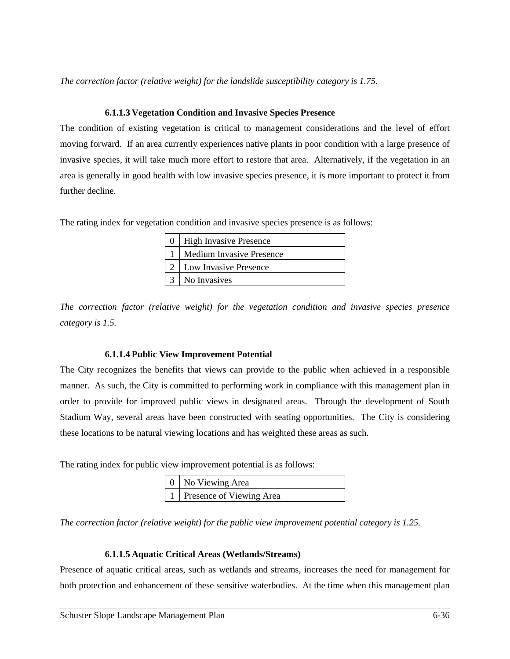*The correction factor (relative weight) for the landslide susceptibility category is 1.75.* 

#### **6.1.1.3 Vegetation Condition and Invasive Species Presence**

The condition of existing vegetation is critical to management considerations and the level of effort moving forward. If an area currently experiences native plants in poor condition with a large presence of invasive species, it will take much more effort to restore that area. Alternatively, if the vegetation in an area is generally in good health with low invasive species presence, it is more important to protect it from further decline.

The rating index for vegetation condition and invasive species presence is as follows:

| <b>High Invasive Presence</b>   |  |  |  |  |  |  |
|---------------------------------|--|--|--|--|--|--|
| <b>Medium Invasive Presence</b> |  |  |  |  |  |  |
| Low Invasive Presence           |  |  |  |  |  |  |
| No Invasives                    |  |  |  |  |  |  |

*The correction factor (relative weight) for the vegetation condition and invasive species presence category is 1.5.* 

## **6.1.1.4 Public View Improvement Potential**

The City recognizes the benefits that views can provide to the public when achieved in a responsible manner. As such, the City is committed to performing work in compliance with this management plan in order to provide for improved public views in designated areas. Through the development of South Stadium Way, several areas have been constructed with seating opportunities. The City is considering these locations to be natural viewing locations and has weighted these areas as such.

The rating index for public view improvement potential is as follows:

| 0   No Viewing Area          |  |  |  |  |  |
|------------------------------|--|--|--|--|--|
| 1   Presence of Viewing Area |  |  |  |  |  |

*The correction factor (relative weight) for the public view improvement potential category is 1.25.* 

#### **6.1.1.5 Aquatic Critical Areas (Wetlands/Streams)**

Presence of aquatic critical areas, such as wetlands and streams, increases the need for management for both protection and enhancement of these sensitive waterbodies. At the time when this management plan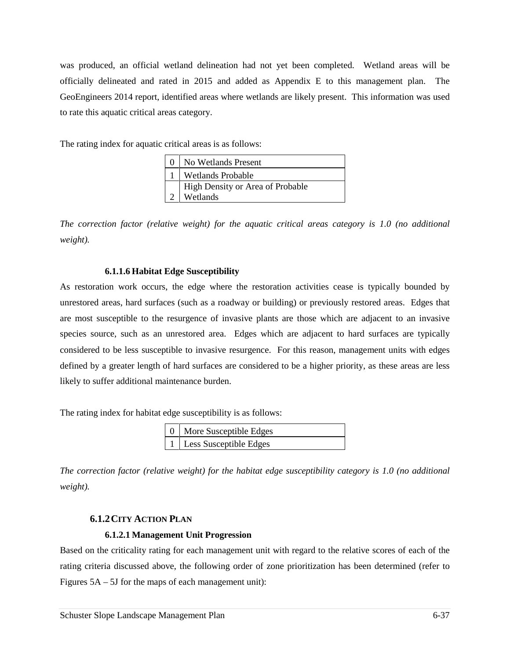was produced, an official wetland delineation had not yet been completed. Wetland areas will be officially delineated and rated in 2015 and added as Appendix E to this management plan. The GeoEngineers 2014 report, identified areas where wetlands are likely present. This information was used to rate this aquatic critical areas category.

The rating index for aquatic critical areas is as follows:

| No Wetlands Present                          |
|----------------------------------------------|
| <b>Wetlands Probable</b>                     |
| High Density or Area of Probable<br>Wetlands |

*The correction factor (relative weight) for the aquatic critical areas category is 1.0 (no additional weight).* 

## **6.1.1.6 Habitat Edge Susceptibility**

As restoration work occurs, the edge where the restoration activities cease is typically bounded by unrestored areas, hard surfaces (such as a roadway or building) or previously restored areas. Edges that are most susceptible to the resurgence of invasive plants are those which are adjacent to an invasive species source, such as an unrestored area. Edges which are adjacent to hard surfaces are typically considered to be less susceptible to invasive resurgence. For this reason, management units with edges defined by a greater length of hard surfaces are considered to be a higher priority, as these areas are less likely to suffer additional maintenance burden.

The rating index for habitat edge susceptibility is as follows:

| 0   More Susceptible Edges |
|----------------------------|
| 1   Less Susceptible Edges |

*The correction factor (relative weight) for the habitat edge susceptibility category is 1.0 (no additional weight).* 

# **6.1.2CITY ACTION PLAN**

## **6.1.2.1 Management Unit Progression**

Based on the criticality rating for each management unit with regard to the relative scores of each of the rating criteria discussed above, the following order of zone prioritization has been determined (refer to Figures 5A – 5J for the maps of each management unit):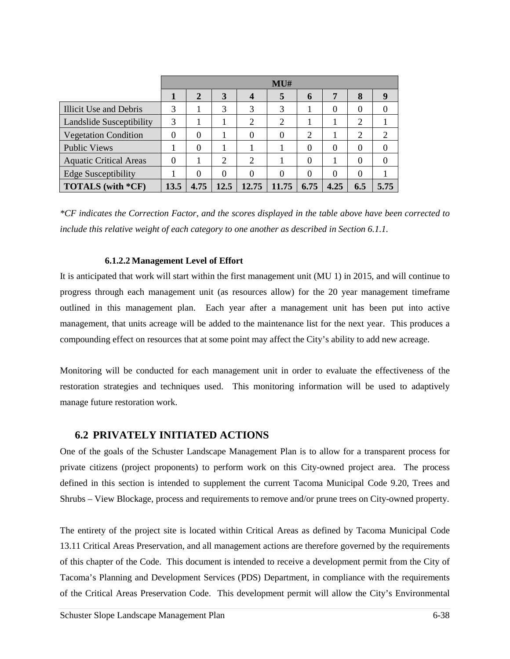|                               | MU#      |                |          |                |          |          |          |          |                |
|-------------------------------|----------|----------------|----------|----------------|----------|----------|----------|----------|----------------|
|                               |          | $\overline{2}$ | 3        | 4              | 5        | 6        | 7        | 8        | 9              |
| Illicit Use and Debris        | 3        |                | 3        | 3              | 3        |          | $\Omega$ | 0        | 0              |
| Landslide Susceptibility      | 3        |                |          | $\overline{2}$ | 2        |          |          | 2        |                |
| <b>Vegetation Condition</b>   | $\theta$ | $\theta$       |          | $\Omega$       | $\Omega$ | 2        |          | 2        | $\overline{2}$ |
| <b>Public Views</b>           |          | $\theta$       |          |                |          | 0        | $\theta$ | 0        | 0              |
| <b>Aquatic Critical Areas</b> | $\theta$ |                | 2        | $\overline{2}$ |          | 0        |          | 0        |                |
| <b>Edge Susceptibility</b>    |          | $\theta$       | $\theta$ | $\Omega$       | $\Omega$ | $\Omega$ | $\Omega$ | $\theta$ |                |
| TOTALS (with *CF)             | 13.5     | 4.75           | 12.5     | 12.75          | 11.75    | 6.75     | 4.25     | 6.5      | 5.75           |

*\*CF indicates the Correction Factor, and the scores displayed in the table above have been corrected to include this relative weight of each category to one another as described in Section 6.1.1.* 

### **6.1.2.2 Management Level of Effort**

It is anticipated that work will start within the first management unit (MU 1) in 2015, and will continue to progress through each management unit (as resources allow) for the 20 year management timeframe outlined in this management plan. Each year after a management unit has been put into active management, that units acreage will be added to the maintenance list for the next year. This produces a compounding effect on resources that at some point may affect the City's ability to add new acreage.

Monitoring will be conducted for each management unit in order to evaluate the effectiveness of the restoration strategies and techniques used. This monitoring information will be used to adaptively manage future restoration work.

## **6.2 PRIVATELY INITIATED ACTIONS**

One of the goals of the Schuster Landscape Management Plan is to allow for a transparent process for private citizens (project proponents) to perform work on this City-owned project area. The process defined in this section is intended to supplement the current Tacoma Municipal Code 9.20, Trees and Shrubs – View Blockage, process and requirements to remove and/or prune trees on City-owned property.

The entirety of the project site is located within Critical Areas as defined by Tacoma Municipal Code 13.11 Critical Areas Preservation, and all management actions are therefore governed by the requirements of this chapter of the Code. This document is intended to receive a development permit from the City of Tacoma's Planning and Development Services (PDS) Department, in compliance with the requirements of the Critical Areas Preservation Code. This development permit will allow the City's Environmental